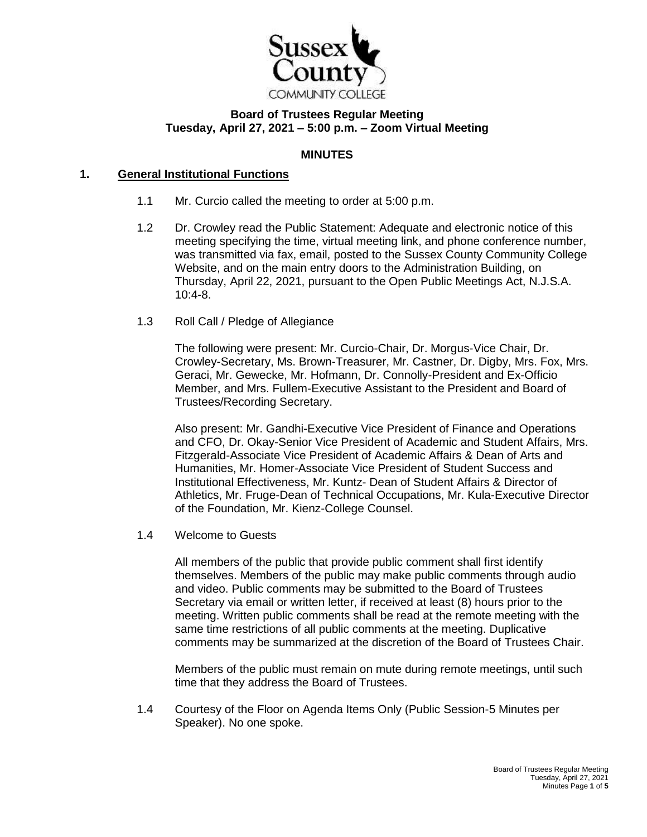

# **Board of Trustees Regular Meeting Tuesday, April 27, 2021 – 5:00 p.m. – Zoom Virtual Meeting**

#### **MINUTES**

# **1. General Institutional Functions**

- 1.1 Mr. Curcio called the meeting to order at 5:00 p.m.
- 1.2 Dr. Crowley read the Public Statement: Adequate and electronic notice of this meeting specifying the time, virtual meeting link, and phone conference number, was transmitted via fax, email, posted to the Sussex County Community College Website, and on the main entry doors to the Administration Building, on Thursday, April 22, 2021, pursuant to the Open Public Meetings Act, N.J.S.A. 10:4-8.
- 1.3 Roll Call / Pledge of Allegiance

The following were present: Mr. Curcio-Chair, Dr. Morgus-Vice Chair, Dr. Crowley-Secretary, Ms. Brown-Treasurer, Mr. Castner, Dr. Digby, Mrs. Fox, Mrs. Geraci, Mr. Gewecke, Mr. Hofmann, Dr. Connolly-President and Ex-Officio Member, and Mrs. Fullem-Executive Assistant to the President and Board of Trustees/Recording Secretary.

Also present: Mr. Gandhi-Executive Vice President of Finance and Operations and CFO, Dr. Okay-Senior Vice President of Academic and Student Affairs, Mrs. Fitzgerald-Associate Vice President of Academic Affairs & Dean of Arts and Humanities, Mr. Homer-Associate Vice President of Student Success and Institutional Effectiveness, Mr. Kuntz- Dean of Student Affairs & Director of Athletics, Mr. Fruge-Dean of Technical Occupations, Mr. Kula-Executive Director of the Foundation, Mr. Kienz-College Counsel.

1.4 Welcome to Guests

All members of the public that provide public comment shall first identify themselves. Members of the public may make public comments through audio and video. Public comments may be submitted to the Board of Trustees Secretary via email or written letter, if received at least (8) hours prior to the meeting. Written public comments shall be read at the remote meeting with the same time restrictions of all public comments at the meeting. Duplicative comments may be summarized at the discretion of the Board of Trustees Chair.

Members of the public must remain on mute during remote meetings, until such time that they address the Board of Trustees.

1.4 Courtesy of the Floor on Agenda Items Only (Public Session-5 Minutes per Speaker). No one spoke.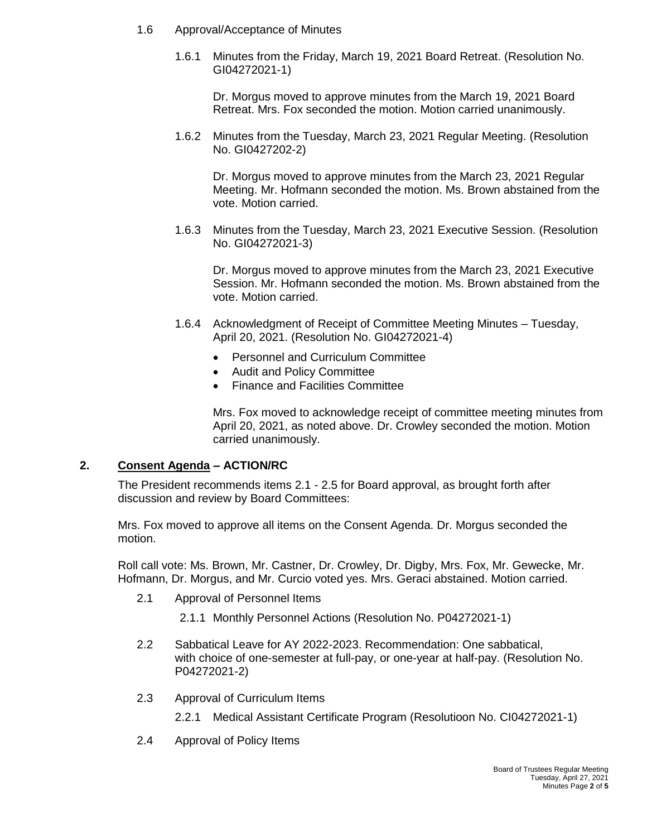- 1.6 Approval/Acceptance of Minutes
	- 1.6.1 Minutes from the Friday, March 19, 2021 Board Retreat. (Resolution No. GI04272021-1)

Dr. Morgus moved to approve minutes from the March 19, 2021 Board Retreat. Mrs. Fox seconded the motion. Motion carried unanimously.

1.6.2 Minutes from the Tuesday, March 23, 2021 Regular Meeting. (Resolution No. GI0427202-2)

Dr. Morgus moved to approve minutes from the March 23, 2021 Regular Meeting. Mr. Hofmann seconded the motion. Ms. Brown abstained from the vote. Motion carried.

1.6.3 Minutes from the Tuesday, March 23, 2021 Executive Session. (Resolution No. GI04272021-3)

Dr. Morgus moved to approve minutes from the March 23, 2021 Executive Session. Mr. Hofmann seconded the motion. Ms. Brown abstained from the vote. Motion carried.

- 1.6.4 Acknowledgment of Receipt of Committee Meeting Minutes Tuesday, April 20, 2021. (Resolution No. GI04272021-4)
	- Personnel and Curriculum Committee
	- Audit and Policy Committee
	- Finance and Facilities Committee

Mrs. Fox moved to acknowledge receipt of committee meeting minutes from April 20, 2021, as noted above. Dr. Crowley seconded the motion. Motion carried unanimously.

## **2. Consent Agenda – ACTION/RC**

The President recommends items 2.1 - 2.5 for Board approval, as brought forth after discussion and review by Board Committees:

Mrs. Fox moved to approve all items on the Consent Agenda. Dr. Morgus seconded the motion.

Roll call vote: Ms. Brown, Mr. Castner, Dr. Crowley, Dr. Digby, Mrs. Fox, Mr. Gewecke, Mr. Hofmann, Dr. Morgus, and Mr. Curcio voted yes. Mrs. Geraci abstained. Motion carried.

- 2.1 Approval of Personnel Items
	- 2.1.1 Monthly Personnel Actions (Resolution No. P04272021-1)
- 2.2 Sabbatical Leave for AY 2022-2023. Recommendation: One sabbatical, with choice of one-semester at full-pay, or one-year at half-pay. (Resolution No. P04272021-2)
- 2.3 Approval of Curriculum Items
	- 2.2.1 Medical Assistant Certificate Program (Resolutioon No. CI04272021-1)
- 2.4 Approval of Policy Items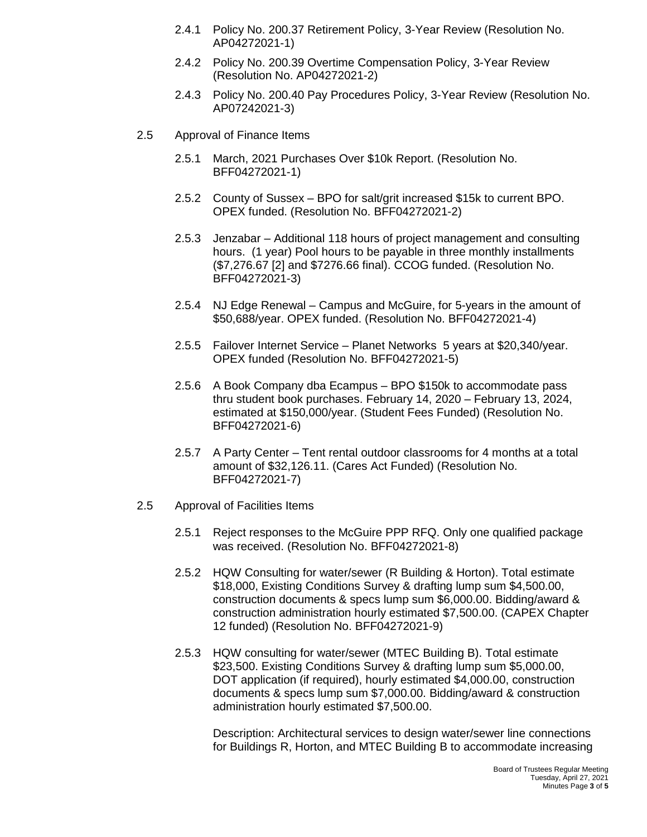- 2.4.1 Policy No. 200.37 Retirement Policy, 3-Year Review (Resolution No. AP04272021-1)
- 2.4.2 Policy No. 200.39 Overtime Compensation Policy, 3-Year Review (Resolution No. AP04272021-2)
- 2.4.3 Policy No. 200.40 Pay Procedures Policy, 3-Year Review (Resolution No. AP07242021-3)
- 2.5 Approval of Finance Items
	- 2.5.1 March, 2021 Purchases Over \$10k Report. (Resolution No. BFF04272021-1)
	- 2.5.2 County of Sussex BPO for salt/grit increased \$15k to current BPO. OPEX funded. (Resolution No. BFF04272021-2)
	- 2.5.3 Jenzabar Additional 118 hours of project management and consulting hours. (1 year) Pool hours to be payable in three monthly installments (\$7,276.67 [2] and \$7276.66 final). CCOG funded. (Resolution No. BFF04272021-3)
	- 2.5.4 NJ Edge Renewal Campus and McGuire, for 5-years in the amount of \$50,688/year. OPEX funded. (Resolution No. BFF04272021-4)
	- 2.5.5 Failover Internet Service Planet Networks 5 years at \$20,340/year. OPEX funded (Resolution No. BFF04272021-5)
	- 2.5.6 A Book Company dba Ecampus BPO \$150k to accommodate pass thru student book purchases. February 14, 2020 – February 13, 2024, estimated at \$150,000/year. (Student Fees Funded) (Resolution No. BFF04272021-6)
	- 2.5.7 A Party Center Tent rental outdoor classrooms for 4 months at a total amount of \$32,126.11. (Cares Act Funded) (Resolution No. BFF04272021-7)
- 2.5 Approval of Facilities Items
	- 2.5.1 Reject responses to the McGuire PPP RFQ. Only one qualified package was received. (Resolution No. BFF04272021-8)
	- 2.5.2 HQW Consulting for water/sewer (R Building & Horton). Total estimate \$18,000, Existing Conditions Survey & drafting lump sum \$4,500.00, construction documents & specs lump sum \$6,000.00. Bidding/award & construction administration hourly estimated \$7,500.00. (CAPEX Chapter 12 funded) (Resolution No. BFF04272021-9)
	- 2.5.3 HQW consulting for water/sewer (MTEC Building B). Total estimate \$23,500. Existing Conditions Survey & drafting lump sum \$5,000.00, DOT application (if required), hourly estimated \$4,000.00, construction documents & specs lump sum \$7,000.00. Bidding/award & construction administration hourly estimated \$7,500.00.

Description: Architectural services to design water/sewer line connections for Buildings R, Horton, and MTEC Building B to accommodate increasing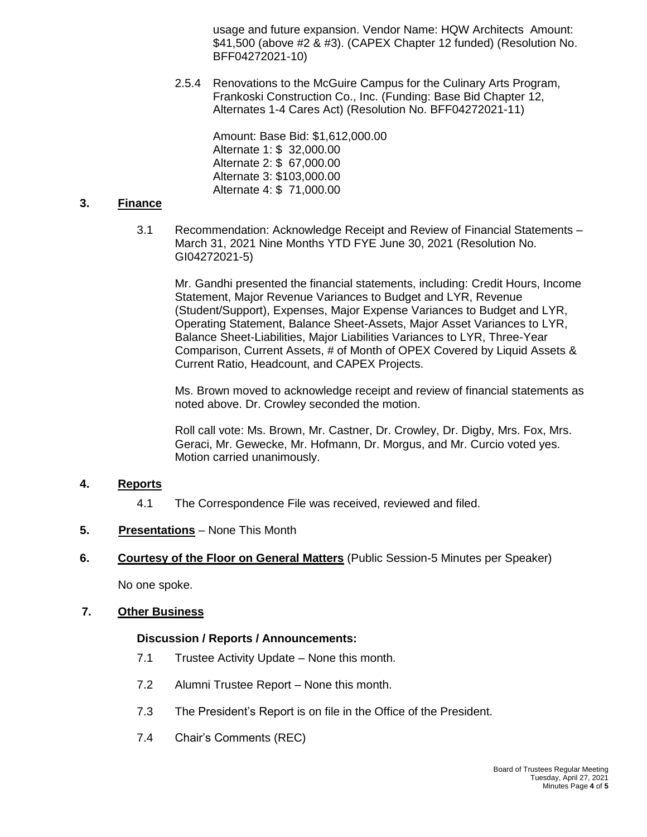usage and future expansion. Vendor Name: HQW Architects Amount: \$41,500 (above #2 & #3). (CAPEX Chapter 12 funded) (Resolution No. BFF04272021-10)

2.5.4 Renovations to the McGuire Campus for the Culinary Arts Program, Frankoski Construction Co., Inc. (Funding: Base Bid Chapter 12, Alternates 1-4 Cares Act) (Resolution No. BFF04272021-11)

> Amount: Base Bid: \$1,612,000.00 Alternate 1: \$ 32,000.00 Alternate 2: \$ 67,000.00 Alternate 3: \$103,000.00 Alternate 4: \$ 71,000.00

#### **3. Finance**

3.1 Recommendation: Acknowledge Receipt and Review of Financial Statements – March 31, 2021 Nine Months YTD FYE June 30, 2021 (Resolution No. GI04272021-5)

Mr. Gandhi presented the financial statements, including: Credit Hours, Income Statement, Major Revenue Variances to Budget and LYR, Revenue (Student/Support), Expenses, Major Expense Variances to Budget and LYR, Operating Statement, Balance Sheet-Assets, Major Asset Variances to LYR, Balance Sheet-Liabilities, Major Liabilities Variances to LYR, Three-Year Comparison, Current Assets, # of Month of OPEX Covered by Liquid Assets & Current Ratio, Headcount, and CAPEX Projects.

Ms. Brown moved to acknowledge receipt and review of financial statements as noted above. Dr. Crowley seconded the motion.

Roll call vote: Ms. Brown, Mr. Castner, Dr. Crowley, Dr. Digby, Mrs. Fox, Mrs. Geraci, Mr. Gewecke, Mr. Hofmann, Dr. Morgus, and Mr. Curcio voted yes. Motion carried unanimously.

## **4. Reports**

4.1 The Correspondence File was received, reviewed and filed.

## **5. Presentations** – None This Month

**6. Courtesy of the Floor on General Matters** (Public Session-5 Minutes per Speaker)

No one spoke.

#### **7. Other Business**

## **Discussion / Reports / Announcements:**

- 7.1 Trustee Activity Update None this month.
- 7.2 Alumni Trustee Report None this month.
- 7.3 The President's Report is on file in the Office of the President.
- 7.4 Chair's Comments (REC)